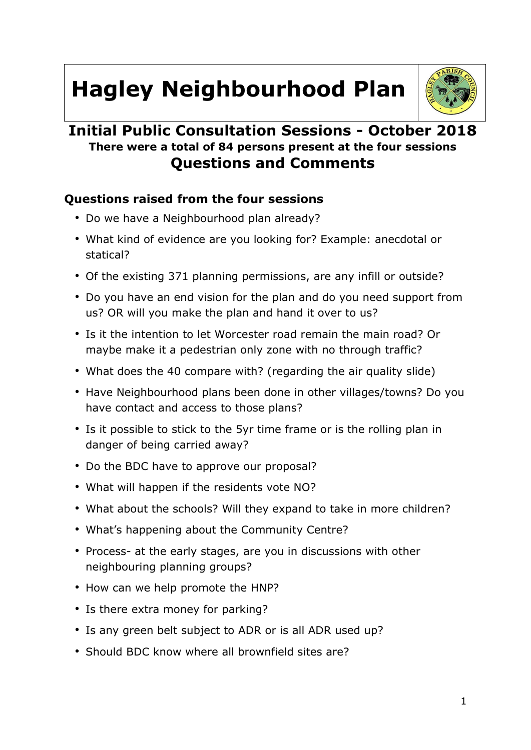# **Hagley Neighbourhood Plan**



# **Initial Public Consultation Sessions - October 2018 There were a total of 84 persons present at the four sessions Questions and Comments**

## **Questions raised from the four sessions**

- Do we have a Neighbourhood plan already?
- What kind of evidence are you looking for? Example: anecdotal or statical?
- Of the existing 371 planning permissions, are any infill or outside?
- Do you have an end vision for the plan and do you need support from us? OR will you make the plan and hand it over to us?
- Is it the intention to let Worcester road remain the main road? Or maybe make it a pedestrian only zone with no through traffic?
- What does the 40 compare with? (regarding the air quality slide)
- Have Neighbourhood plans been done in other villages/towns? Do you have contact and access to those plans?
- Is it possible to stick to the 5yr time frame or is the rolling plan in danger of being carried away?
- Do the BDC have to approve our proposal?
- What will happen if the residents vote NO?
- What about the schools? Will they expand to take in more children?
- What's happening about the Community Centre?
- Process- at the early stages, are you in discussions with other neighbouring planning groups?
- How can we help promote the HNP?
- Is there extra money for parking?
- Is any green belt subject to ADR or is all ADR used up?
- Should BDC know where all brownfield sites are?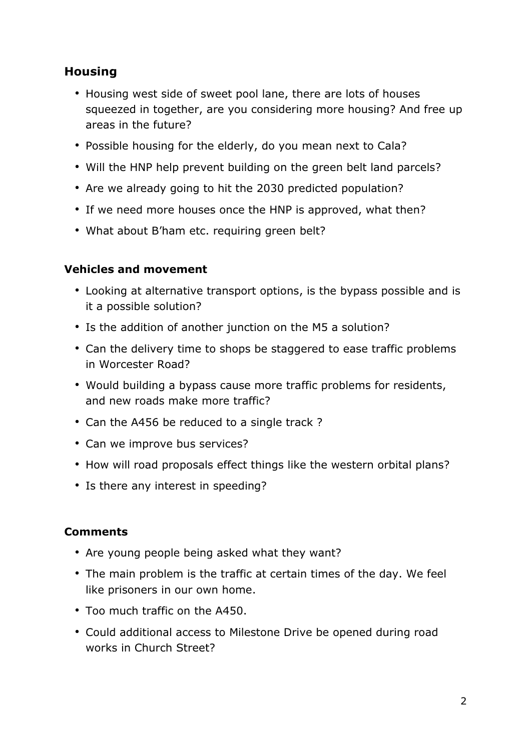## **Housing**

- Housing west side of sweet pool lane, there are lots of houses squeezed in together, are you considering more housing? And free up areas in the future?
- Possible housing for the elderly, do you mean next to Cala?
- Will the HNP help prevent building on the green belt land parcels?
- Are we already going to hit the 2030 predicted population?
- If we need more houses once the HNP is approved, what then?
- What about B'ham etc. requiring green belt?

## **Vehicles and movement**

- Looking at alternative transport options, is the bypass possible and is it a possible solution?
- Is the addition of another junction on the M5 a solution?
- Can the delivery time to shops be staggered to ease traffic problems in Worcester Road?
- Would building a bypass cause more traffic problems for residents, and new roads make more traffic?
- Can the A456 be reduced to a single track ?
- Can we improve bus services?
- How will road proposals effect things like the western orbital plans?
- Is there any interest in speeding?

## **Comments**

- Are young people being asked what they want?
- The main problem is the traffic at certain times of the day. We feel like prisoners in our own home.
- Too much traffic on the A450.
- Could additional access to Milestone Drive be opened during road works in Church Street?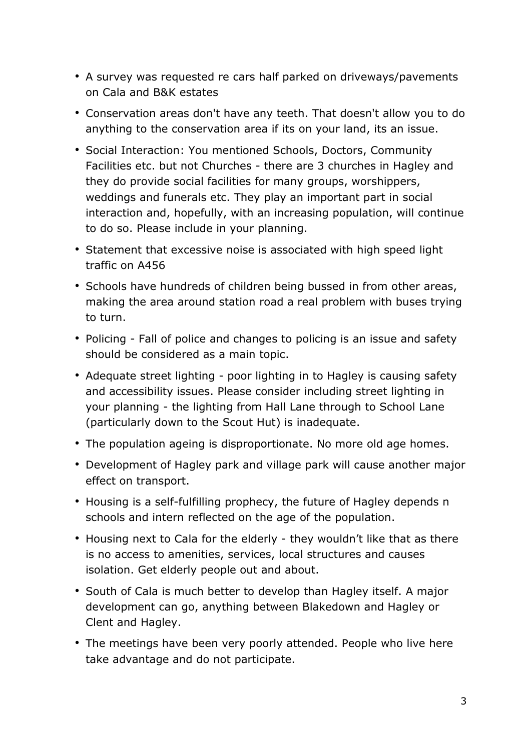- A survey was requested re cars half parked on driveways/pavements on Cala and B&K estates
- Conservation areas don't have any teeth. That doesn't allow you to do anything to the conservation area if its on your land, its an issue.
- Social Interaction: You mentioned Schools, Doctors, Community Facilities etc. but not Churches - there are 3 churches in Hagley and they do provide social facilities for many groups, worshippers, weddings and funerals etc. They play an important part in social interaction and, hopefully, with an increasing population, will continue to do so. Please include in your planning.
- Statement that excessive noise is associated with high speed light traffic on A456
- Schools have hundreds of children being bussed in from other areas, making the area around station road a real problem with buses trying to turn.
- Policing Fall of police and changes to policing is an issue and safety should be considered as a main topic.
- Adequate street lighting poor lighting in to Hagley is causing safety and accessibility issues. Please consider including street lighting in your planning - the lighting from Hall Lane through to School Lane (particularly down to the Scout Hut) is inadequate.
- The population ageing is disproportionate. No more old age homes.
- Development of Hagley park and village park will cause another major effect on transport.
- Housing is a self-fulfilling prophecy, the future of Hagley depends n schools and intern reflected on the age of the population.
- Housing next to Cala for the elderly they wouldn't like that as there is no access to amenities, services, local structures and causes isolation. Get elderly people out and about.
- South of Cala is much better to develop than Hagley itself. A major development can go, anything between Blakedown and Hagley or Clent and Hagley.
- The meetings have been very poorly attended. People who live here take advantage and do not participate.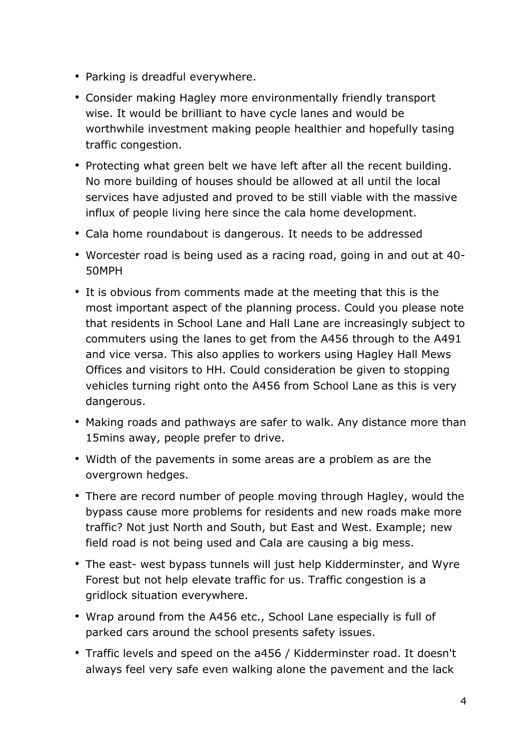- Parking is dreadful everywhere.
- Consider making Hagley more environmentally friendly transport wise. It would be brilliant to have cycle lanes and would be worthwhile investment making people healthier and hopefully tasing traffic congestion.
- Protecting what green belt we have left after all the recent building. No more building of houses should be allowed at all until the local services have adjusted and proved to be still viable with the massive influx of people living here since the cala home development.
- Cala home roundabout is dangerous. It needs to be addressed
- Worcester road is being used as a racing road, going in and out at 40- 50MPH
- It is obvious from comments made at the meeting that this is the most important aspect of the planning process. Could you please note that residents in School Lane and Hall Lane are increasingly subject to commuters using the lanes to get from the A456 through to the A491 and vice versa. This also applies to workers using Hagley Hall Mews Offices and visitors to HH. Could consideration be given to stopping vehicles turning right onto the A456 from School Lane as this is very dangerous.
- Making roads and pathways are safer to walk. Any distance more than 15mins away, people prefer to drive.
- Width of the pavements in some areas are a problem as are the overgrown hedges.
- There are record number of people moving through Hagley, would the bypass cause more problems for residents and new roads make more traffic? Not just North and South, but East and West. Example; new field road is not being used and Cala are causing a big mess.
- The east- west bypass tunnels will just help Kidderminster, and Wyre Forest but not help elevate traffic for us. Traffic congestion is a gridlock situation everywhere.
- Wrap around from the A456 etc., School Lane especially is full of parked cars around the school presents safety issues.
- Traffic levels and speed on the a456 / Kidderminster road. It doesn't always feel very safe even walking alone the pavement and the lack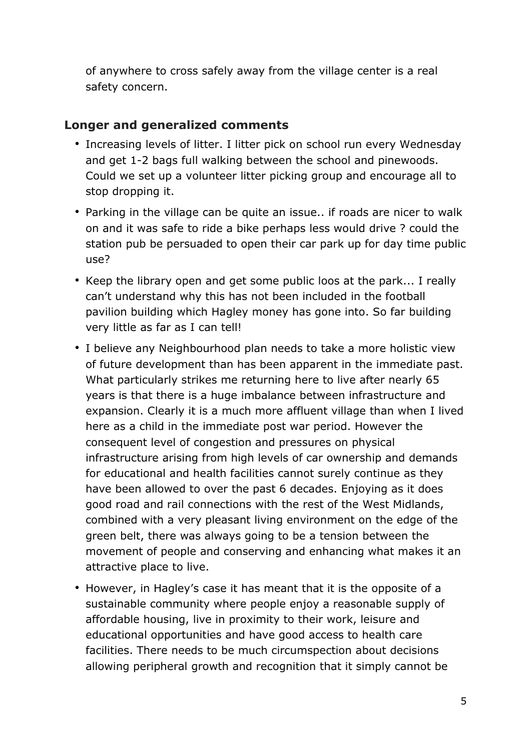of anywhere to cross safely away from the village center is a real safety concern.

#### **Longer and generalized comments**

- Increasing levels of litter. I litter pick on school run every Wednesday and get 1-2 bags full walking between the school and pinewoods. Could we set up a volunteer litter picking group and encourage all to stop dropping it.
- Parking in the village can be quite an issue.. if roads are nicer to walk on and it was safe to ride a bike perhaps less would drive ? could the station pub be persuaded to open their car park up for day time public use?
- Keep the library open and get some public loos at the park... I really can't understand why this has not been included in the football pavilion building which Hagley money has gone into. So far building very little as far as I can tell!
- I believe any Neighbourhood plan needs to take a more holistic view of future development than has been apparent in the immediate past. What particularly strikes me returning here to live after nearly 65 years is that there is a huge imbalance between infrastructure and expansion. Clearly it is a much more affluent village than when I lived here as a child in the immediate post war period. However the consequent level of congestion and pressures on physical infrastructure arising from high levels of car ownership and demands for educational and health facilities cannot surely continue as they have been allowed to over the past 6 decades. Enjoying as it does good road and rail connections with the rest of the West Midlands, combined with a very pleasant living environment on the edge of the green belt, there was always going to be a tension between the movement of people and conserving and enhancing what makes it an attractive place to live.
- However, in Hagley's case it has meant that it is the opposite of a sustainable community where people enjoy a reasonable supply of affordable housing, live in proximity to their work, leisure and educational opportunities and have good access to health care facilities. There needs to be much circumspection about decisions allowing peripheral growth and recognition that it simply cannot be